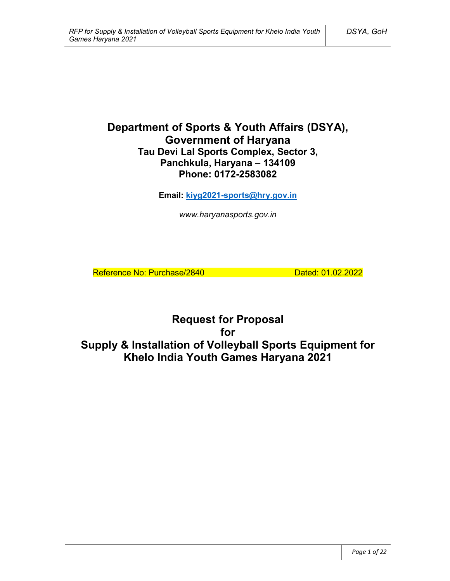# **Department of Sports & Youth Affairs (DSYA), Government of Haryana Tau Devi Lal Sports Complex, Sector 3, Panchkula, Haryana – 134109 Phone: 0172-2583082**

**Email: kiyg2021-sports@hry.gov.in**

*www.haryanasports.gov.in*

Reference No: Purchase/2840 Dated: 01.02.2022

**Request for Proposal for Supply & Installation of Volleyball Sports Equipment for Khelo India Youth Games Haryana 2021**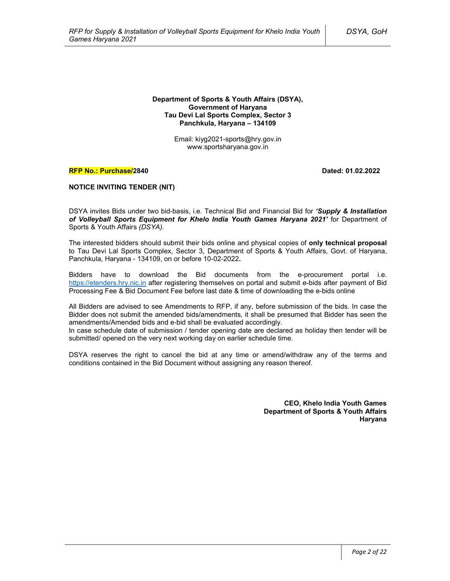#### **Department of Sports & Youth Affairs (DSYA), Government of Haryana Tau Devi Lal Sports Complex, Sector 3 Panchkula, Haryana – 134109**

Email: kiyg2021-sports@hry.gov.in www.sportsharyana.gov.in

#### **RFP No.: Purchase/2840 Dated: 01.02.2022**

#### **NOTICE INVITING TENDER (NIT)**

DSYA invites Bids under two bid-basis, i.e. Technical Bid and Financial Bid for *'Supply & Installation of Volleyball Sports Equipment for Khelo India Youth Games Haryana 2021'* for Department of Sports & Youth Affairs *(DSYA)*.

The interested bidders should submit their bids online and physical copies of **only technical proposal** to Tau Devi Lal Sports Complex, Sector 3, Department of Sports & Youth Affairs, Govt. of Haryana, Panchkula, Haryana - 134109, on or before 10-02-2022**.**

Bidders have to download the Bid documents from the e-procurement portal i.e. https://etenders.hry.nic.in after registering themselves on portal and submit e-bids after payment of Bid Processing Fee & Bid Document Fee before last date & time of downloading the e-bids online

All Bidders are advised to see Amendments to RFP, if any, before submission of the bids. In case the Bidder does not submit the amended bids/amendments, it shall be presumed that Bidder has seen the amendments/Amended bids and e-bid shall be evaluated accordingly.

In case schedule date of submission / tender opening date are declared as holiday then tender will be submitted/ opened on the very next working day on earlier schedule time.

DSYA reserves the right to cancel the bid at any time or amend/withdraw any of the terms and conditions contained in the Bid Document without assigning any reason thereof.

> **CEO, Khelo India Youth Games Department of Sports & Youth Affairs Haryana**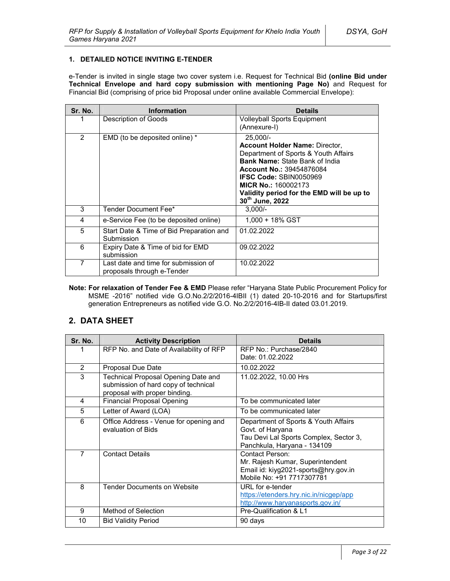#### **1. DETAILED NOTICE INVITING E-TENDER**

e-Tender is invited in single stage two cover system i.e. Request for Technical Bid **(online Bid under Technical Envelope and hard copy submission with mentioning Page No)** and Request for Financial Bid (comprising of price bid Proposal under online available Commercial Envelope):

| Sr. No. | <b>Information</b>                                                 | <b>Details</b>                                                                                                                                                                                                                                                                                         |
|---------|--------------------------------------------------------------------|--------------------------------------------------------------------------------------------------------------------------------------------------------------------------------------------------------------------------------------------------------------------------------------------------------|
|         | Description of Goods                                               | <b>Volleyball Sports Equipment</b><br>(Annexure-I)                                                                                                                                                                                                                                                     |
| 2       | EMD (to be deposited online) *                                     | $25,000/-$<br><b>Account Holder Name: Director,</b><br>Department of Sports & Youth Affairs<br><b>Bank Name: State Bank of India</b><br><b>Account No.: 39454876084</b><br><b>IFSC Code: SBIN0050969</b><br><b>MICR No.: 160002173</b><br>Validity period for the EMD will be up to<br>30th June, 2022 |
| 3       | Tender Document Fee*                                               | $3.000/-$                                                                                                                                                                                                                                                                                              |
| 4       | e-Service Fee (to be deposited online)                             | 1.000 + 18% GST                                                                                                                                                                                                                                                                                        |
| 5       | Start Date & Time of Bid Preparation and<br>Submission             | 01.02.2022                                                                                                                                                                                                                                                                                             |
| 6       | Expiry Date & Time of bid for EMD<br>submission                    | 09.02.2022                                                                                                                                                                                                                                                                                             |
| 7       | Last date and time for submission of<br>proposals through e-Tender | 10.02.2022                                                                                                                                                                                                                                                                                             |

**Note: For relaxation of Tender Fee & EMD** Please refer "Haryana State Public Procurement Policy for MSME -2016" notified vide G.O.No.2/2/2016-4IBII (1) dated 20-10-2016 and for Startups/first generation Entrepreneurs as notified vide G.O. No.2/2/2016-4IB-II dated 03.01.2019.

## **2. DATA SHEET**

| Sr. No.        | <b>Activity Description</b>                                                                                  | <b>Details</b>                                                                                                                    |  |
|----------------|--------------------------------------------------------------------------------------------------------------|-----------------------------------------------------------------------------------------------------------------------------------|--|
|                | RFP No. and Date of Availability of RFP                                                                      | RFP No.: Purchase/2840<br>Date: 01.02.2022                                                                                        |  |
| 2              | <b>Proposal Due Date</b>                                                                                     | 10.02.2022                                                                                                                        |  |
| 3              | Technical Proposal Opening Date and<br>submission of hard copy of technical<br>proposal with proper binding. | 11.02.2022, 10.00 Hrs                                                                                                             |  |
| 4              | <b>Financial Proposal Opening</b>                                                                            | To be communicated later                                                                                                          |  |
| 5              | Letter of Award (LOA)                                                                                        | To be communicated later                                                                                                          |  |
| 6              | Office Address - Venue for opening and<br>evaluation of Bids                                                 | Department of Sports & Youth Affairs<br>Govt. of Haryana<br>Tau Devi Lal Sports Complex, Sector 3,<br>Panchkula, Haryana - 134109 |  |
| $\overline{7}$ | <b>Contact Details</b>                                                                                       | Contact Person:<br>Mr. Rajesh Kumar, Superintendent<br>Email id: kiyg2021-sports@hry.gov.in<br>Mobile No: +91 7717307781          |  |
| 8              | <b>Tender Documents on Website</b>                                                                           | URL for e-tender<br>https://etenders.hry.nic.in/nicgep/app<br>http://www.haryanasports.gov.in/                                    |  |
| 9              | Method of Selection                                                                                          | Pre-Qualification & L1                                                                                                            |  |
| 10             | <b>Bid Validity Period</b>                                                                                   | 90 days                                                                                                                           |  |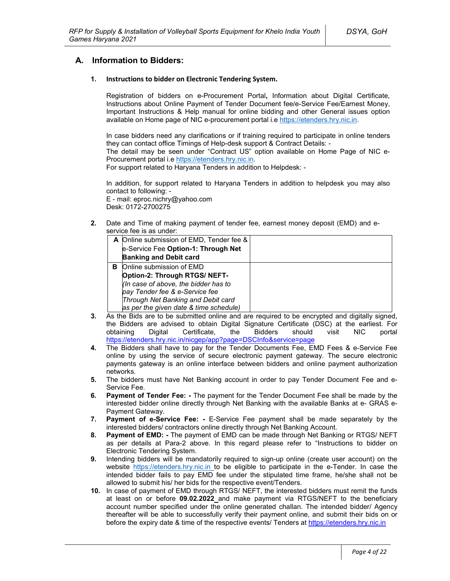## **A. Information to Bidders:**

#### **1. Instructions to bidder on Electronic Tendering System.**

Registration of bidders on e-Procurement Portal**,** Information about Digital Certificate, Instructions about Online Payment of Tender Document fee/e-Service Fee/Earnest Money, Important Instructions & Help manual for online bidding and other General issues option available on Home page of NIC e-procurement portal i.e https://etenders.hry.nic.in.

In case bidders need any clarifications or if training required to participate in online tenders they can contact office Timings of Help-desk support & Contract Details: -

The detail may be seen under "Contract US" option available on Home Page of NIC e-Procurement portal i.e https://etenders.hry.nic.in.

For support related to Haryana Tenders in addition to Helpdesk: -

In addition, for support related to Haryana Tenders in addition to helpdesk you may also contact to following: -

E - mail: eproc.nichry@yahoo.com Desk: 0172-2700275

**2.** Date and Time of making payment of tender fee, earnest money deposit (EMD) and eservice fee is as under:

|   | A Online submission of EMD, Tender fee & |  |
|---|------------------------------------------|--|
|   | e-Service Fee Option-1: Through Net      |  |
|   | <b>Banking and Debit card</b>            |  |
| в | Online submission of EMD                 |  |
|   | Option-2: Through RTGS/ NEFT-            |  |
|   | (In case of above, the bidder has to     |  |
|   | pay Tender fee & e-Service fee           |  |
|   | Through Net Banking and Debit card       |  |
|   | as per the given date & time schedule)   |  |

- **3.** As the Bids are to be submitted online and are required to be encrypted and digitally signed, the Bidders are advised to obtain Digital Signature Certificate (DSC) at the earliest. For obtaining Digital Certificate, the Bidders should visit NIC portal https://etenders.hry.nic.in/nicgep/app?page=DSCInfo&service=page
- **4.** The Bidders shall have to pay for the Tender Documents Fee, EMD Fees & e-Service Fee online by using the service of secure electronic payment gateway. The secure electronic payments gateway is an online interface between bidders and online payment authorization networks.
- **5.** The bidders must have Net Banking account in order to pay Tender Document Fee and e-Service Fee.
- **6. Payment of Tender Fee: -** The payment for the Tender Document Fee shall be made by the interested bidder online directly through Net Banking with the available Banks at e- GRAS e-Payment Gateway.
- **7. Payment of e-Service Fee: -** E-Service Fee payment shall be made separately by the interested bidders/ contractors online directly through Net Banking Account.
- **8. Payment of EMD: -** The payment of EMD can be made through Net Banking or RTGS/ NEFT as per details at Para-2 above. In this regard please refer to "Instructions to bidder on Electronic Tendering System.
- **9.** Intending bidders will be mandatorily required to sign-up online (create user account) on the website https://etenders.hry.nic.in to be eligible to participate in the e-Tender. In case the intended bidder fails to pay EMD fee under the stipulated time frame, he/she shall not be allowed to submit his/ her bids for the respective event/Tenders.
- **10.** In case of payment of EMD through RTGS/ NEFT, the interested bidders must remit the funds at least on or before **09.02.2022** and make payment via RTGS/NEFT to the beneficiary account number specified under the online generated challan. The intended bidder/ Agency thereafter will be able to successfully verify their payment online, and submit their bids on or before the expiry date & time of the respective events/ Tenders at https://etenders.hry.nic.in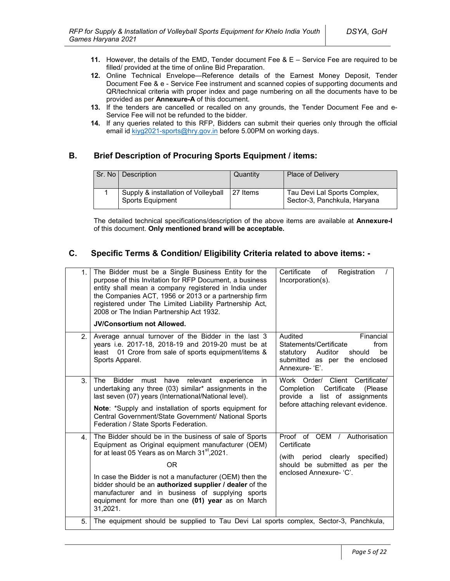- **11.** However, the details of the EMD, Tender document Fee & E Service Fee are required to be filled/ provided at the time of online Bid Preparation.
- **12.** Online Technical Envelope—Reference details of the Earnest Money Deposit, Tender Document Fee & e - Service Fee instrument and scanned copies of supporting documents and QR/technical criteria with proper index and page numbering on all the documents have to be provided as per **Annexure-A** of this document.
- **13.** If the tenders are cancelled or recalled on any grounds, the Tender Document Fee and e-Service Fee will not be refunded to the bidder.
- **14.** If any queries related to this RFP, Bidders can submit their queries only through the official email id kiyg2021-sports@hry.gov.in before 5.00PM on working days.

## **B. Brief Description of Procuring Sports Equipment / items:**

| Sr. No Description                                      | Quantity | <b>Place of Delivery</b>                                     |
|---------------------------------------------------------|----------|--------------------------------------------------------------|
| Supply & installation of Volleyball<br>Sports Equipment | 27 Items | Tau Devi Lal Sports Complex,<br>Sector-3, Panchkula, Haryana |

The detailed technical specifications/description of the above items are available at **Annexure-I** of this document. **Only mentioned brand will be acceptable.**

## **C. Specific Terms & Condition/ Eligibility Criteria related to above items: -**

| 1.             | The Bidder must be a Single Business Entity for the<br>purpose of this Invitation for RFP Document, a business<br>entity shall mean a company registered in India under<br>the Companies ACT, 1956 or 2013 or a partnership firm<br>registered under The Limited Liability Partnership Act,<br>2008 or The Indian Partnership Act 1932.<br><b>JV/Consortium not Allowed.</b>                                                | Certificate<br>Registration<br>of<br>Incorporation(s).                                                                                              |
|----------------|-----------------------------------------------------------------------------------------------------------------------------------------------------------------------------------------------------------------------------------------------------------------------------------------------------------------------------------------------------------------------------------------------------------------------------|-----------------------------------------------------------------------------------------------------------------------------------------------------|
| 2.             | Average annual turnover of the Bidder in the last 3<br>years i.e. 2017-18, 2018-19 and 2019-20 must be at<br>01 Crore from sale of sports equipment/items &<br>least<br>Sports Apparel.                                                                                                                                                                                                                                     | Audited<br>Financial<br>Statements/Certificate<br>from<br>statutory<br>Auditor<br>be<br>should<br>submitted as per the enclosed<br>Annexure-'E'.    |
| 3.             | <b>The</b><br><b>Bidder</b><br>relevant<br>must<br>have<br>experience<br>in.<br>undertaking any three (03) similar* assignments in the<br>last seven (07) years (International/National level).<br>Note: *Supply and installation of sports equipment for<br>Central Government/State Government/ National Sports<br>Federation / State Sports Federation.                                                                  | Work Order/ Client Certificate/<br>Certificate<br>Completion<br>(Please)<br>list of assignments<br>provide a<br>before attaching relevant evidence. |
| 4 <sup>1</sup> | The Bidder should be in the business of sale of Sports<br>Equipment as Original equipment manufacturer (OEM)<br>for at least 05 Years as on March 31 <sup>st</sup> , 2021.<br>ΟR<br>In case the Bidder is not a manufacturer (OEM) then the<br>bidder should be an authorized supplier / dealer of the<br>manufacturer and in business of supplying sports<br>equipment for more than one (01) year as on March<br>31,2021. | Proof of OEM /<br>Authorisation<br>Certificate<br>(with period clearly<br>specified)<br>should be submitted as per the<br>enclosed Annexure- 'C'.   |
| 5.             | The equipment should be supplied to Tau Devi Lal sports complex, Sector-3, Panchkula,                                                                                                                                                                                                                                                                                                                                       |                                                                                                                                                     |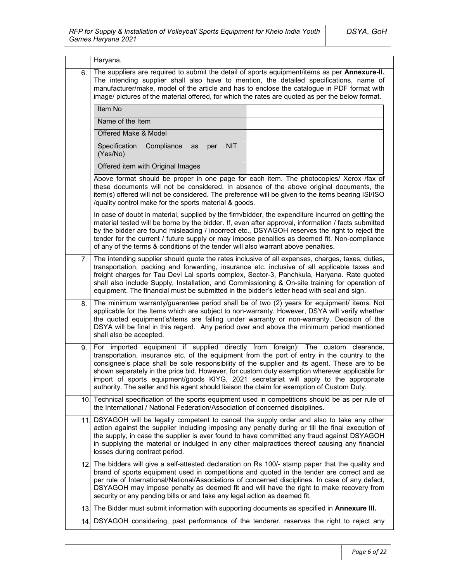|                 | Haryana.                                                                                                                                                                                                                                                                                                                                                                                                                                                                                                                                                                  |  |  |  |  |  |
|-----------------|---------------------------------------------------------------------------------------------------------------------------------------------------------------------------------------------------------------------------------------------------------------------------------------------------------------------------------------------------------------------------------------------------------------------------------------------------------------------------------------------------------------------------------------------------------------------------|--|--|--|--|--|
| 6.              | The suppliers are required to submit the detail of sports equipment/items as per Annexure-II.<br>The intending supplier shall also have to mention, the detailed specifications, name of<br>manufacturer/make, model of the article and has to enclose the catalogue in PDF format with<br>image/ pictures of the material offered, for which the rates are quoted as per the below format.                                                                                                                                                                               |  |  |  |  |  |
|                 | Item No                                                                                                                                                                                                                                                                                                                                                                                                                                                                                                                                                                   |  |  |  |  |  |
|                 | Name of the Item                                                                                                                                                                                                                                                                                                                                                                                                                                                                                                                                                          |  |  |  |  |  |
|                 | Offered Make & Model                                                                                                                                                                                                                                                                                                                                                                                                                                                                                                                                                      |  |  |  |  |  |
|                 | Specification<br>Compliance<br><b>NIT</b><br>as<br>per<br>(Yes/No)                                                                                                                                                                                                                                                                                                                                                                                                                                                                                                        |  |  |  |  |  |
|                 | Offered item with Original Images                                                                                                                                                                                                                                                                                                                                                                                                                                                                                                                                         |  |  |  |  |  |
|                 | Above format should be proper in one page for each item. The photocopies/ Xerox /fax of<br>these documents will not be considered. In absence of the above original documents, the<br>item(s) offered will not be considered. The preference will be given to the items bearing ISI/ISO<br>/quality control make for the sports material & goods.                                                                                                                                                                                                                         |  |  |  |  |  |
|                 | In case of doubt in material, supplied by the firm/bidder, the expenditure incurred on getting the<br>material tested will be borne by the bidder. If, even after approval, information / facts submitted<br>by the bidder are found misleading / incorrect etc., DSYAGOH reserves the right to reject the<br>tender for the current / future supply or may impose penalties as deemed fit. Non-compliance<br>of any of the terms & conditions of the tender will also warrant above penalties.                                                                           |  |  |  |  |  |
| 7.              | The intending supplier should quote the rates inclusive of all expenses, charges, taxes, duties,<br>transportation, packing and forwarding, insurance etc. inclusive of all applicable taxes and<br>freight charges for Tau Devi Lal sports complex, Sector-3, Panchkula, Haryana. Rate quoted<br>shall also include Supply, Installation, and Commissioning & On-site training for operation of<br>equipment. The financial must be submitted in the bidder's letter head with seal and sign.                                                                            |  |  |  |  |  |
| 8.              | The minimum warranty/guarantee period shall be of two (2) years for equipment/ items. Not<br>applicable for the Items which are subject to non-warranty. However, DSYA will verify whether<br>the quoted equipment's/items are falling under warranty or non-warranty. Decision of the<br>DSYA will be final in this regard. Any period over and above the minimum period mentioned<br>shall also be accepted.                                                                                                                                                            |  |  |  |  |  |
| 9.              | For imported equipment if supplied directly from foreign): The custom clearance,<br>transportation, insurance etc. of the equipment from the port of entry in the country to the<br>consignee's place shall be sole responsibility of the supplier and its agent. These are to be<br>shown separately in the price bid. However, for custom duty exemption wherever applicable for<br>import of sports equipment/goods KIYG, 2021 secretariat will apply to the appropriate<br>authority. The seller and his agent should liaison the claim for exemption of Custom Duty. |  |  |  |  |  |
|                 | 10. Technical specification of the sports equipment used in competitions should be as per rule of<br>the International / National Federation/Association of concerned disciplines.                                                                                                                                                                                                                                                                                                                                                                                        |  |  |  |  |  |
| 11.             | DSYAGOH will be legally competent to cancel the supply order and also to take any other<br>action against the supplier including imposing any penalty during or till the final execution of<br>the supply, in case the supplier is ever found to have committed any fraud against DSYAGOH<br>in supplying the material or indulged in any other malpractices thereof causing any financial<br>losses during contract period.                                                                                                                                              |  |  |  |  |  |
| 12.             | The bidders will give a self-attested declaration on Rs 100/- stamp paper that the quality and<br>brand of sports equipment used in competitions and quoted in the tender are correct and as<br>per rule of International/National/Associations of concerned disciplines. In case of any defect,<br>DSYAGOH may impose penalty as deemed fit and will have the right to make recovery from<br>security or any pending bills or and take any legal action as deemed fit.                                                                                                   |  |  |  |  |  |
| 13 <sub>1</sub> | The Bidder must submit information with supporting documents as specified in Annexure III.                                                                                                                                                                                                                                                                                                                                                                                                                                                                                |  |  |  |  |  |
| 14.             | DSYAGOH considering, past performance of the tenderer, reserves the right to reject any                                                                                                                                                                                                                                                                                                                                                                                                                                                                                   |  |  |  |  |  |
|                 |                                                                                                                                                                                                                                                                                                                                                                                                                                                                                                                                                                           |  |  |  |  |  |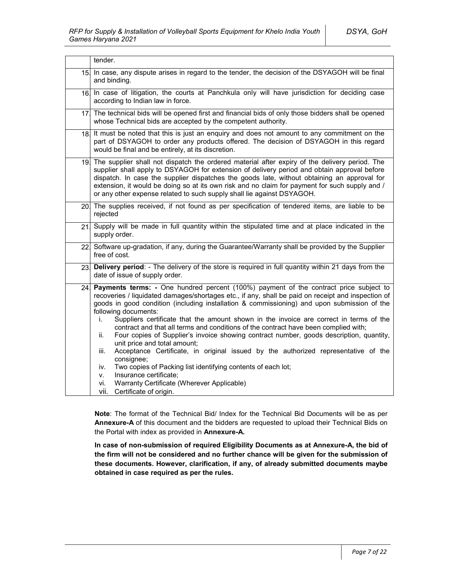|     | tender.                                                                                                                                                                                                                                                                                                                                                                                                                                                                                                                                                                                                                                                                                                                                                                                                                                                                                                                                                      |  |
|-----|--------------------------------------------------------------------------------------------------------------------------------------------------------------------------------------------------------------------------------------------------------------------------------------------------------------------------------------------------------------------------------------------------------------------------------------------------------------------------------------------------------------------------------------------------------------------------------------------------------------------------------------------------------------------------------------------------------------------------------------------------------------------------------------------------------------------------------------------------------------------------------------------------------------------------------------------------------------|--|
| 15. | In case, any dispute arises in regard to the tender, the decision of the DSYAGOH will be final<br>and binding.                                                                                                                                                                                                                                                                                                                                                                                                                                                                                                                                                                                                                                                                                                                                                                                                                                               |  |
|     | 16 In case of litigation, the courts at Panchkula only will have jurisdiction for deciding case<br>according to Indian law in force.                                                                                                                                                                                                                                                                                                                                                                                                                                                                                                                                                                                                                                                                                                                                                                                                                         |  |
| 17. | The technical bids will be opened first and financial bids of only those bidders shall be opened<br>whose Technical bids are accepted by the competent authority.                                                                                                                                                                                                                                                                                                                                                                                                                                                                                                                                                                                                                                                                                                                                                                                            |  |
| 18. | It must be noted that this is just an enquiry and does not amount to any commitment on the<br>part of DSYAGOH to order any products offered. The decision of DSYAGOH in this regard<br>would be final and be entirely, at its discretion.                                                                                                                                                                                                                                                                                                                                                                                                                                                                                                                                                                                                                                                                                                                    |  |
|     | 19. The supplier shall not dispatch the ordered material after expiry of the delivery period. The<br>supplier shall apply to DSYAGOH for extension of delivery period and obtain approval before<br>dispatch. In case the supplier dispatches the goods late, without obtaining an approval for<br>extension, it would be doing so at its own risk and no claim for payment for such supply and /<br>or any other expense related to such supply shall lie against DSYAGOH.                                                                                                                                                                                                                                                                                                                                                                                                                                                                                  |  |
|     | 20. The supplies received, if not found as per specification of tendered items, are liable to be<br>rejected                                                                                                                                                                                                                                                                                                                                                                                                                                                                                                                                                                                                                                                                                                                                                                                                                                                 |  |
| 21  | Supply will be made in full quantity within the stipulated time and at place indicated in the<br>supply order.                                                                                                                                                                                                                                                                                                                                                                                                                                                                                                                                                                                                                                                                                                                                                                                                                                               |  |
|     | 22 Software up-gradation, if any, during the Guarantee/Warranty shall be provided by the Supplier<br>free of cost.                                                                                                                                                                                                                                                                                                                                                                                                                                                                                                                                                                                                                                                                                                                                                                                                                                           |  |
| 23. | Delivery period: - The delivery of the store is required in full quantity within 21 days from the<br>date of issue of supply order.                                                                                                                                                                                                                                                                                                                                                                                                                                                                                                                                                                                                                                                                                                                                                                                                                          |  |
| 24. | <b>Payments terms:</b> - One hundred percent (100%) payment of the contract price subject to<br>recoveries / liquidated damages/shortages etc., if any, shall be paid on receipt and inspection of<br>goods in good condition (including installation & commissioning) and upon submission of the<br>following documents:<br>Suppliers certificate that the amount shown in the invoice are correct in terms of the<br>İ.<br>contract and that all terms and conditions of the contract have been complied with;<br>Four copies of Supplier's invoice showing contract number, goods description, quantity,<br>ii.<br>unit price and total amount;<br>Acceptance Certificate, in original issued by the authorized representative of the<br>iii.<br>consignee;<br>Two copies of Packing list identifying contents of each lot;<br>iv.<br>Insurance certificate;<br>v.<br>Warranty Certificate (Wherever Applicable)<br>vi.<br>vii.<br>Certificate of origin. |  |

**Note**: The format of the Technical Bid/ Index for the Technical Bid Documents will be as per **Annexure-A** of this document and the bidders are requested to upload their Technical Bids on the Portal with index as provided in **Annexure-A.**

**In case of non-submission of required Eligibility Documents as at Annexure-A, the bid of the firm will not be considered and no further chance will be given for the submission of these documents. However, clarification, if any, of already submitted documents maybe obtained in case required as per the rules.**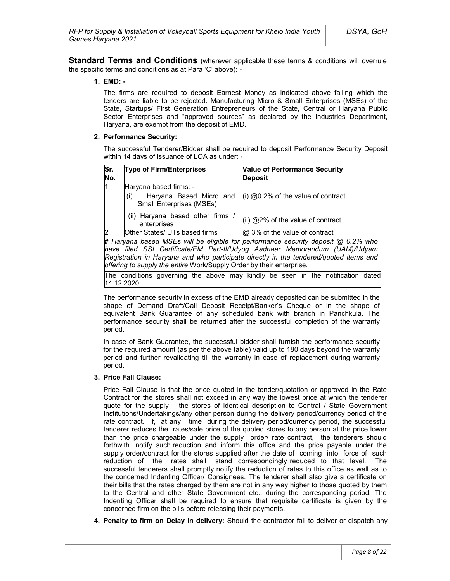**Standard Terms and Conditions** (wherever applicable these terms & conditions will overrule the specific terms and conditions as at Para 'C' above): -

#### **1. EMD: -**

The firms are required to deposit Earnest Money as indicated above failing which the tenders are liable to be rejected. Manufacturing Micro & Small Enterprises (MSEs) of the State, Startups/ First Generation Entrepreneurs of the State, Central or Haryana Public Sector Enterprises and "approved sources" as declared by the Industries Department, Haryana, are exempt from the deposit of EMD.

#### **2. Performance Security:**

The successful Tenderer/Bidder shall be required to deposit Performance Security Deposit within 14 days of issuance of LOA as under: -

| Sr.<br>No.                                    | <b>Type of Firm/Enterprises</b>                                                     | <b>Value of Performance Security</b><br><b>Deposit</b> |  |
|-----------------------------------------------|-------------------------------------------------------------------------------------|--------------------------------------------------------|--|
| l1                                            | Haryana based firms: -                                                              |                                                        |  |
|                                               | Haryana Based Micro and<br>(i)<br><b>Small Enterprises (MSEs)</b>                   | (i) $@0.2\%$ of the value of contract                  |  |
| (ii) Haryana based other firms<br>enterprises |                                                                                     | (ii) @2% of the value of contract                      |  |
| $\overline{2}$                                | Other States/ UTs based firms                                                       | @ 3% of the value of contract                          |  |
|                                               | # Harvana based MSEs will be eligible for performance security deposit @ 0.2% who l |                                                        |  |

**#** *Haryana based MSEs will be eligible for performance security deposit @ 0.2% who have filed SSI Certificate/EM Part-II/Udyog Aadhaar Memorandum (UAM)/Udyam Registration in Haryana and who participate directly in the tendered/quoted items and offering to supply the entire* Work/Supply Order by their enterprise*.*

The conditions governing the above may kindly be seen in the notification dated 14.12.2020.

The performance security in excess of the EMD already deposited can be submitted in the shape of Demand Draft/Call Deposit Receipt/Banker's Cheque or in the shape of equivalent Bank Guarantee of any scheduled bank with branch in Panchkula. The performance security shall be returned after the successful completion of the warranty period.

In case of Bank Guarantee, the successful bidder shall furnish the performance security for the required amount (as per the above table) valid up to 180 days beyond the warranty period and further revalidating till the warranty in case of replacement during warranty period.

### **3. Price Fall Clause:**

Price Fall Clause is that the price quoted in the tender/quotation or approved in the Rate Contract for the stores shall not exceed in any way the lowest price at which the tenderer quote for the supply the stores of identical description to Central / State Government Institutions/Undertakings/any other person during the delivery period/currency period of the rate contract. If, at any time during the delivery period/currency period, the successful tenderer reduces the rates/sale price of the quoted stores to any person at the price lower than the price chargeable under the supply order/ rate contract, the tenderers should forthwith notify such reduction and inform this office and the price payable under the supply order/contract for the stores supplied after the date of coming into force of such reduction of the rates shall stand correspondingly reduced to that level. The successful tenderers shall promptly notify the reduction of rates to this office as well as to the concerned Indenting Officer/ Consignees. The tenderer shall also give a certificate on their bills that the rates charged by them are not in any way higher to those quoted by them to the Central and other State Government etc., during the corresponding period. The Indenting Officer shall be required to ensure that requisite certificate is given by the concerned firm on the bills before releasing their payments.

**4. Penalty to firm on Delay in delivery:** Should the contractor fail to deliver or dispatch any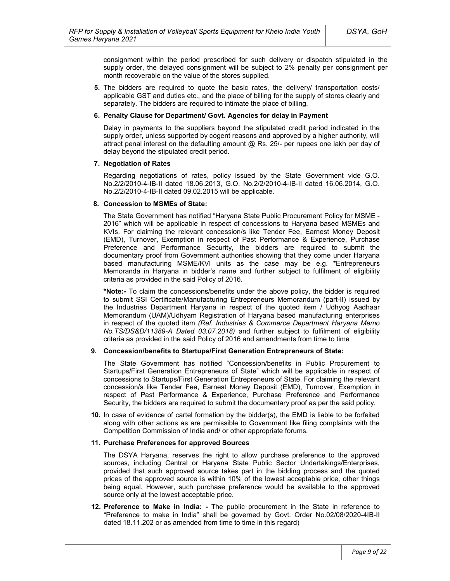consignment within the period prescribed for such delivery or dispatch stipulated in the supply order, the delayed consignment will be subject to 2% penalty per consignment per month recoverable on the value of the stores supplied.

**5.** The bidders are required to quote the basic rates, the delivery/ transportation costs/ applicable GST and duties etc., and the place of billing for the supply of stores clearly and separately. The bidders are required to intimate the place of billing.

#### **6. Penalty Clause for Department/ Govt. Agencies for delay in Payment**

Delay in payments to the suppliers beyond the stipulated credit period indicated in the supply order, unless supported by cogent reasons and approved by a higher authority, will attract penal interest on the defaulting amount  $@$  Rs. 25/- per rupees one lakh per day of delay beyond the stipulated credit period.

#### **7. Negotiation of Rates**

Regarding negotiations of rates, policy issued by the State Government vide G.O. No.2/2/2010-4-IB-II dated 18.06.2013, G.O. No.2/2/2010-4-IB-II dated 16.06.2014, G.O. No.2/2/2010-4-IB-II dated 09.02.2015 will be applicable.

#### **8. Concession to MSMEs of State:**

The State Government has notified "Haryana State Public Procurement Policy for MSME - 2016" which will be applicable in respect of concessions to Haryana based MSMEs and KVIs. For claiming the relevant concession/s like Tender Fee, Earnest Money Deposit (EMD), Turnover, Exemption in respect of Past Performance & Experience, Purchase Preference and Performance Security, the bidders are required to submit the documentary proof from Government authorities showing that they come under Haryana based manufacturing MSME/KVI units as the case may be e.g. **\***Entrepreneurs Memoranda in Haryana in bidder's name and further subject to fulfilment of eligibility criteria as provided in the said Policy of 2016.

**\*Note:-** To claim the concessions/benefits under the above policy, the bidder is required to submit SSI Certificate/Manufacturing Entrepreneurs Memorandum (part-II) issued by the Industries Department Haryana in respect of the quoted item / Udhyog Aadhaar Memorandum (UAM)/Udhyam Registration of Haryana based manufacturing enterprises in respect of the quoted item *(Ref. Industries & Commerce Department Haryana Memo No.TS/DS&D/11389-A Dated 03.07.2018)* and further subject to fulfilment of eligibility criteria as provided in the said Policy of 2016 and amendments from time to time

### **9. Concession/benefits to Startups/First Generation Entrepreneurs of State:**

The State Government has notified "Concession/benefits in Public Procurement to Startups/First Generation Entrepreneurs of State" which will be applicable in respect of concessions to Startups/First Generation Entrepreneurs of State. For claiming the relevant concession/s like Tender Fee, Earnest Money Deposit (EMD), Turnover, Exemption in respect of Past Performance & Experience, Purchase Preference and Performance Security, the bidders are required to submit the documentary proof as per the said policy.

**10.** In case of evidence of cartel formation by the bidder(s), the EMD is liable to be forfeited along with other actions as are permissible to Government like filing complaints with the Competition Commission of India and/ or other appropriate forums.

#### **11. Purchase Preferences for approved Sources**

The DSYA Haryana, reserves the right to allow purchase preference to the approved sources, including Central or Haryana State Public Sector Undertakings/Enterprises, provided that such approved source takes part in the bidding process and the quoted prices of the approved source is within 10% of the lowest acceptable price, other things being equal. However, such purchase preference would be available to the approved source only at the lowest acceptable price.

**12. Preference to Make in India: -** The public procurement in the State in reference to "Preference to make in India" shall be governed by Govt. Order No.02/08/2020-4IB-II dated 18.11.202 or as amended from time to time in this regard)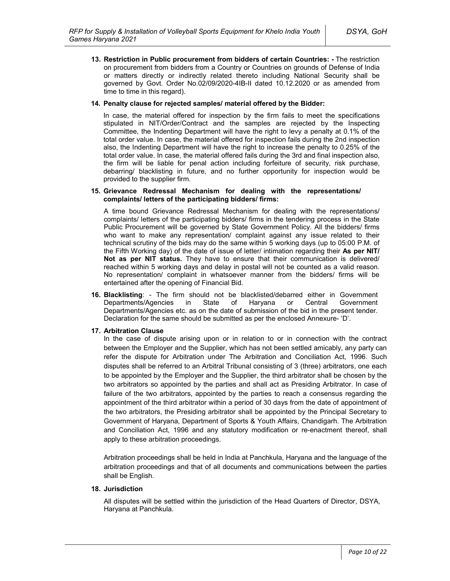**13. Restriction in Public procurement from bidders of certain Countries: -** The restriction on procurement from bidders from a Country or Countries on grounds of Defense of India or matters directly or indirectly related thereto including National Security shall be governed by Govt. Order No.02/09/2020-4IB-II dated 10.12.2020 or as amended from time to time in this regard).

#### **14. Penalty clause for rejected samples/ material offered by the Bidder:**

In case, the material offered for inspection by the firm fails to meet the specifications stipulated in NIT/Order/Contract and the samples are rejected by the Inspecting Committee, the Indenting Department will have the right to levy a penalty at 0.1% of the total order value. In case, the material offered for inspection fails during the 2nd inspection also, the Indenting Department will have the right to increase the penalty to 0.25% of the total order value. In case, the material offered fails during the 3rd and final inspection also, the firm will be liable for penal action including forfeiture of security, risk purchase, debarring/ blacklisting in future, and no further opportunity for inspection would be provided to the supplier firm.

#### **15. Grievance Redressal Mechanism for dealing with the representations/ complaints/ letters of the participating bidders/ firms:**

A time bound Grievance Redressal Mechanism for dealing with the representations/ complaints/ letters of the participating bidders/ firms in the tendering process in the State Public Procurement will be governed by State Government Policy. All the bidders/ firms who want to make any representation/ complaint against any issue related to their technical scrutiny of the bids may do the same within 5 working days (up to 05:00 P.M. of the Fifth Working day) of the date of issue of letter/ intimation regarding their **As per NIT/ Not as per NIT status.** They have to ensure that their communication is delivered/ reached within 5 working days and delay in postal will not be counted as a valid reason. No representation/ complaint in whatsoever manner from the bidders/ firms will be entertained after the opening of Financial Bid.

**16. Blacklisting**: - The firm should not be blacklisted/debarred either in Government Departments/Agencies in State of Haryana or Central Government Departments/Agencies etc. as on the date of submission of the bid in the present tender. Declaration for the same should be submitted as per the enclosed Annexure- 'D'.

#### **17. Arbitration Clause**

In the case of dispute arising upon or in relation to or in connection with the contract between the Employer and the Supplier, which has not been settled amicably, any party can refer the dispute for Arbitration under The Arbitration and Conciliation Act, 1996. Such disputes shall be referred to an Arbitral Tribunal consisting of 3 (three) arbitrators, one each to be appointed by the Employer and the Supplier, the third arbitrator shall be chosen by the two arbitrators so appointed by the parties and shall act as Presiding Arbitrator. In case of failure of the two arbitrators, appointed by the parties to reach a consensus regarding the appointment of the third arbitrator within a period of 30 days from the date of appointment of the two arbitrators, the Presiding arbitrator shall be appointed by the Principal Secretary to Government of Haryana, Department of Sports & Youth Affairs, Chandigarh. The Arbitration and Conciliation Act, 1996 and any statutory modification or re-enactment thereof, shall apply to these arbitration proceedings.

Arbitration proceedings shall be held in India at Panchkula, Haryana and the language of the arbitration proceedings and that of all documents and communications between the parties shall be English.

### **18. Jurisdiction**

All disputes will be settled within the jurisdiction of the Head Quarters of Director, DSYA, Haryana at Panchkula.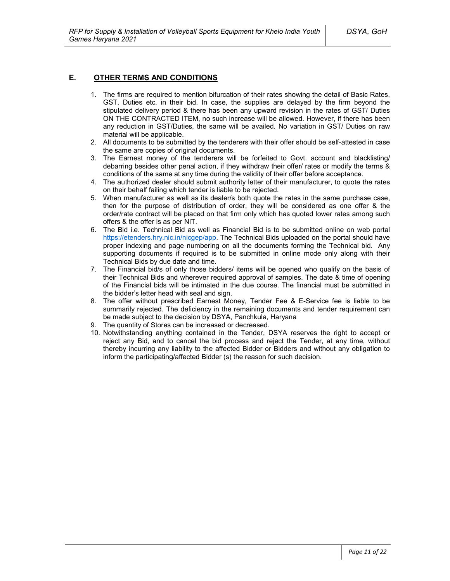## **E. OTHER TERMS AND CONDITIONS**

- 1. The firms are required to mention bifurcation of their rates showing the detail of Basic Rates, GST, Duties etc. in their bid. In case, the supplies are delayed by the firm beyond the stipulated delivery period & there has been any upward revision in the rates of GST/ Duties ON THE CONTRACTED ITEM, no such increase will be allowed. However, if there has been any reduction in GST/Duties, the same will be availed. No variation in GST/ Duties on raw material will be applicable.
- 2. All documents to be submitted by the tenderers with their offer should be self-attested in case the same are copies of original documents.
- 3. The Earnest money of the tenderers will be forfeited to Govt. account and blacklisting/ debarring besides other penal action, if they withdraw their offer/ rates or modify the terms & conditions of the same at any time during the validity of their offer before acceptance.
- 4. The authorized dealer should submit authority letter of their manufacturer, to quote the rates on their behalf failing which tender is liable to be rejected.
- 5. When manufacturer as well as its dealer/s both quote the rates in the same purchase case, then for the purpose of distribution of order, they will be considered as one offer & the order/rate contract will be placed on that firm only which has quoted lower rates among such offers & the offer is as per NIT.
- 6. The Bid i.e. Technical Bid as well as Financial Bid is to be submitted online on web portal https://etenders.hry.nic.in/nicgep/app. The Technical Bids uploaded on the portal should have proper indexing and page numbering on all the documents forming the Technical bid. Any supporting documents if required is to be submitted in online mode only along with their Technical Bids by due date and time.
- 7. The Financial bid/s of only those bidders/ items will be opened who qualify on the basis of their Technical Bids and wherever required approval of samples. The date & time of opening of the Financial bids will be intimated in the due course. The financial must be submitted in the bidder's letter head with seal and sign.
- 8. The offer without prescribed Earnest Money, Tender Fee & E-Service fee is liable to be summarily rejected. The deficiency in the remaining documents and tender requirement can be made subject to the decision by DSYA, Panchkula, Haryana
- 9. The quantity of Stores can be increased or decreased.
- 10. Notwithstanding anything contained in the Tender, DSYA reserves the right to accept or reject any Bid, and to cancel the bid process and reject the Tender, at any time, without thereby incurring any liability to the affected Bidder or Bidders and without any obligation to inform the participating/affected Bidder (s) the reason for such decision.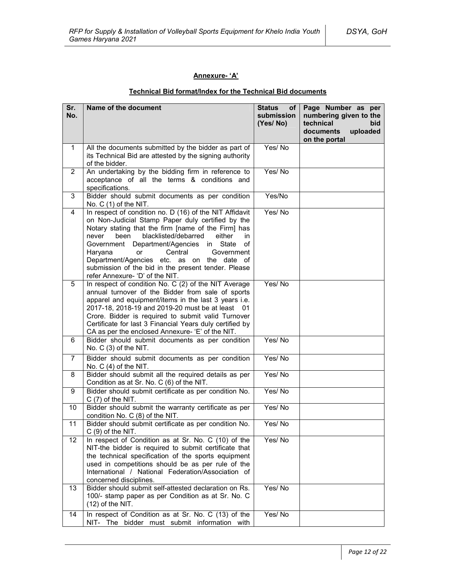## **Annexure- 'A'**

## **Technical Bid format/Index for the Technical Bid documents**

| Sr.<br>No.     | Name of the document                                                                                                                                                                                                                                                                                                                                                                                                                                                  | <b>Status</b><br>of<br>submission<br>(Yes/No) | Page Number as per<br>numbering given to the<br>technical<br>bid<br>documents<br>uploaded<br>on the portal |
|----------------|-----------------------------------------------------------------------------------------------------------------------------------------------------------------------------------------------------------------------------------------------------------------------------------------------------------------------------------------------------------------------------------------------------------------------------------------------------------------------|-----------------------------------------------|------------------------------------------------------------------------------------------------------------|
| 1              | All the documents submitted by the bidder as part of<br>its Technical Bid are attested by the signing authority<br>of the bidder.                                                                                                                                                                                                                                                                                                                                     | Yes/No                                        |                                                                                                            |
| $\overline{2}$ | An undertaking by the bidding firm in reference to<br>acceptance of all the terms & conditions and<br>specifications.                                                                                                                                                                                                                                                                                                                                                 | Yes/No                                        |                                                                                                            |
| 3              | Bidder should submit documents as per condition<br>No. C (1) of the NIT.                                                                                                                                                                                                                                                                                                                                                                                              | Yes/No                                        |                                                                                                            |
| 4              | In respect of condition no. D (16) of the NIT Affidavit<br>on Non-Judicial Stamp Paper duly certified by the<br>Notary stating that the firm [name of the Firm] has<br>blacklisted/debarred<br>been<br>either<br>in<br>never<br>Department/Agencies<br>in State<br>Government<br>οf<br>Central<br>Haryana<br>or<br>Government<br>Department/Agencies etc. as on the date of<br>submission of the bid in the present tender. Please<br>refer Annexure- 'D' of the NIT. | Yes/No                                        |                                                                                                            |
| 5              | In respect of condition No. C (2) of the NIT Average<br>annual turnover of the Bidder from sale of sports<br>apparel and equipment/items in the last 3 years i.e.<br>2017-18, 2018-19 and 2019-20 must be at least 01<br>Crore. Bidder is required to submit valid Turnover<br>Certificate for last 3 Financial Years duly certified by<br>CA as per the enclosed Annexure- 'E' of the NIT.                                                                           | Yes/No                                        |                                                                                                            |
| 6              | Bidder should submit documents as per condition<br>No. C (3) of the NIT.                                                                                                                                                                                                                                                                                                                                                                                              | Yes/No                                        |                                                                                                            |
| $\overline{7}$ | Bidder should submit documents as per condition<br>No. $C(4)$ of the NIT.                                                                                                                                                                                                                                                                                                                                                                                             | Yes/No                                        |                                                                                                            |
| 8              | Bidder should submit all the required details as per<br>Condition as at Sr. No. C (6) of the NIT.                                                                                                                                                                                                                                                                                                                                                                     | Yes/No                                        |                                                                                                            |
| 9              | Bidder should submit certificate as per condition No.<br>$C(7)$ of the NIT.                                                                                                                                                                                                                                                                                                                                                                                           | Yes/No                                        |                                                                                                            |
| 10             | Bidder should submit the warranty certificate as per<br>condition No. C (8) of the NIT.                                                                                                                                                                                                                                                                                                                                                                               | Yes/No                                        |                                                                                                            |
| 11             | Bidder should submit certificate as per condition No.<br>$C(9)$ of the NIT.                                                                                                                                                                                                                                                                                                                                                                                           | Yes/No                                        |                                                                                                            |
| 12             | In respect of Condition as at Sr. No. C (10) of the<br>NIT-the bidder is required to submit certificate that<br>the technical specification of the sports equipment<br>used in competitions should be as per rule of the<br>International / National Federation/Association of<br>concerned disciplines.                                                                                                                                                              | Yes/No                                        |                                                                                                            |
| 13             | Bidder should submit self-attested declaration on Rs.<br>100/- stamp paper as per Condition as at Sr. No. C<br>$(12)$ of the NIT.                                                                                                                                                                                                                                                                                                                                     | Yes/No                                        |                                                                                                            |
| 14             | In respect of Condition as at Sr. No. C (13) of the<br>NIT- The bidder must submit information with                                                                                                                                                                                                                                                                                                                                                                   | Yes/No                                        |                                                                                                            |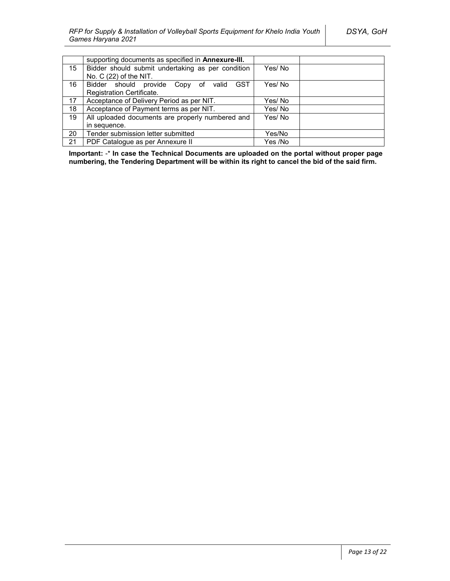|    | supporting documents as specified in Annexure-III.   |         |
|----|------------------------------------------------------|---------|
| 15 | Bidder should submit undertaking as per condition    | Yes/No  |
|    | No. C (22) of the NIT.                               |         |
| 16 | <b>GST</b><br>Bidder should provide Copy of<br>valid | Yes/No  |
|    | Registration Certificate.                            |         |
| 17 | Acceptance of Delivery Period as per NIT.            | Yes/ No |
| 18 | Acceptance of Payment terms as per NIT.              | Yes/ No |
| 19 | All uploaded documents are properly numbered and     | Yes/No  |
|    | in sequence.                                         |         |
| 20 | Tender submission letter submitted                   | Yes/No  |
| 21 | PDF Catalogue as per Annexure II                     | Yes /No |

**Important:** -\* **In case the Technical Documents are uploaded on the portal without proper page numbering, the Tendering Department will be within its right to cancel the bid of the said firm.**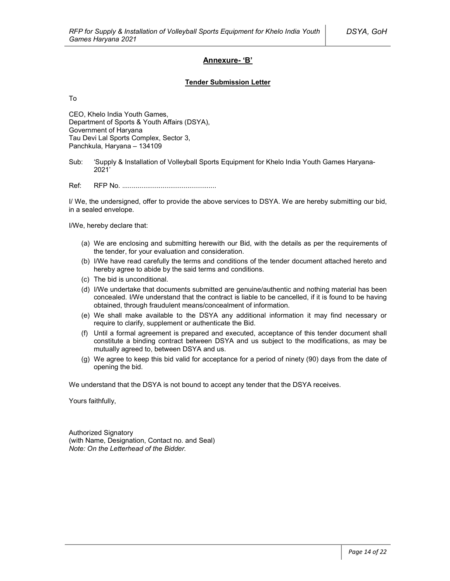## **Annexure- 'B'**

#### **Tender Submission Letter**

To

CEO, Khelo India Youth Games, Department of Sports & Youth Affairs (DSYA), Government of Haryana Tau Devi Lal Sports Complex, Sector 3, Panchkula, Haryana – 134109

Sub: 'Supply & Installation of Volleyball Sports Equipment for Khelo India Youth Games Haryana-2021'

Ref: RFP No. .................................................

I/ We, the undersigned, offer to provide the above services to DSYA. We are hereby submitting our bid, in a sealed envelope.

I/We, hereby declare that:

- (a) We are enclosing and submitting herewith our Bid, with the details as per the requirements of the tender, for your evaluation and consideration.
- (b) I/We have read carefully the terms and conditions of the tender document attached hereto and hereby agree to abide by the said terms and conditions.
- (c) The bid is unconditional.
- (d) I/We undertake that documents submitted are genuine/authentic and nothing material has been concealed. I/We understand that the contract is liable to be cancelled, if it is found to be having obtained, through fraudulent means/concealment of information.
- (e) We shall make available to the DSYA any additional information it may find necessary or require to clarify, supplement or authenticate the Bid.
- (f) Until a formal agreement is prepared and executed, acceptance of this tender document shall constitute a binding contract between DSYA and us subject to the modifications, as may be mutually agreed to, between DSYA and us.
- (g) We agree to keep this bid valid for acceptance for a period of ninety (90) days from the date of opening the bid.

We understand that the DSYA is not bound to accept any tender that the DSYA receives.

Yours faithfully,

Authorized Signatory (with Name, Designation, Contact no. and Seal) *Note: On the Letterhead of the Bidder.*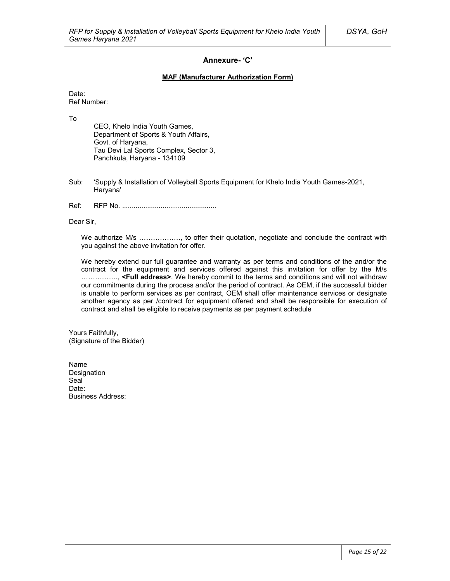## **Annexure- 'C'**

### **MAF (Manufacturer Authorization Form)**

Date: Ref Number:

To

CEO, Khelo India Youth Games, Department of Sports & Youth Affairs, Govt. of Haryana, Tau Devi Lal Sports Complex, Sector 3, Panchkula, Haryana - 134109

- Sub: 'Supply & Installation of Volleyball Sports Equipment for Khelo India Youth Games-2021, Haryana'
- Ref: RFP No. .................................................

Dear Sir,

We authorize M/s ................., to offer their quotation, negotiate and conclude the contract with you against the above invitation for offer.

We hereby extend our full guarantee and warranty as per terms and conditions of the and/or the contract for the equipment and services offered against this invitation for offer by the M/s ……………., **<Full address>**. We hereby commit to the terms and conditions and will not withdraw our commitments during the process and/or the period of contract. As OEM, if the successful bidder is unable to perform services as per contract, OEM shall offer maintenance services or designate another agency as per /contract for equipment offered and shall be responsible for execution of contract and shall be eligible to receive payments as per payment schedule

Yours Faithfully, (Signature of the Bidder)

Name Designation Seal<sup>1</sup> Date: Business Address: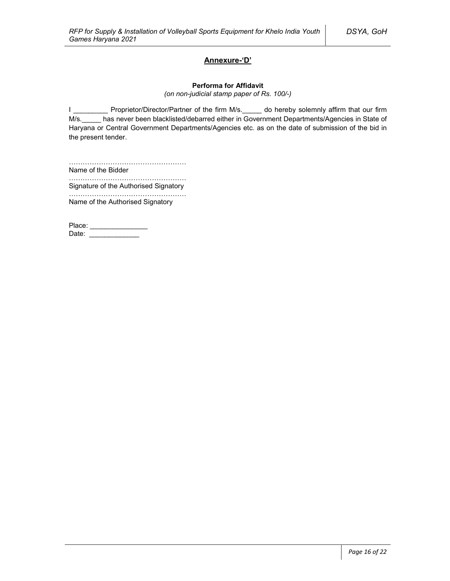## **Annexure-'D'**

#### **Performa for Affidavit**

*(on non-judicial stamp paper of Rs. 100/-)*

I \_\_\_\_\_\_\_\_\_\_ Proprietor/Director/Partner of the firm M/s. \_\_\_\_\_ do hereby solemnly affirm that our firm M/s. has never been blacklisted/debarred either in Government Departments/Agencies in State of Haryana or Central Government Departments/Agencies etc. as on the date of submission of the bid in the present tender.

…………………………………………… Name of the Bidder

…………………………………………………… Signature of the Authorised Signatory

…………………………………………… Name of the Authorised Signatory

Place: \_\_\_\_\_\_\_\_\_\_\_\_\_\_\_\_\_ Date: \_\_\_\_\_\_\_\_\_\_\_\_\_\_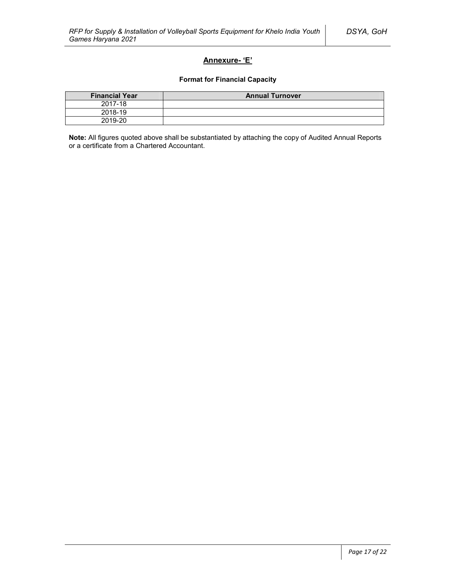## **Annexure- 'E'**

### **Format for Financial Capacity**

| <b>Financial Year</b> | <b>Annual Turnover</b> |
|-----------------------|------------------------|
| 2017-18               |                        |
| 2018-19               |                        |
| 2019-20               |                        |

**Note:** All figures quoted above shall be substantiated by attaching the copy of Audited Annual Reports or a certificate from a Chartered Accountant.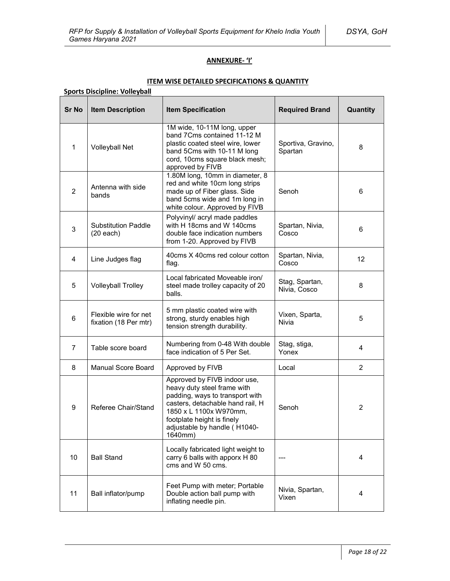## **ANNEXURE- 'I'**

## **ITEM WISE DETAILED SPECIFICATIONS & QUANTITY**

| <b>Sports Discipline: Volleyball</b> |                                                |                                                                                                                                                                                                                                       |                                |                |  |
|--------------------------------------|------------------------------------------------|---------------------------------------------------------------------------------------------------------------------------------------------------------------------------------------------------------------------------------------|--------------------------------|----------------|--|
| <b>Sr No</b>                         | <b>Item Description</b>                        | <b>Item Specification</b><br><b>Required Brand</b>                                                                                                                                                                                    |                                | Quantity       |  |
| 1                                    | <b>Volleyball Net</b>                          | 1M wide, 10-11M long, upper<br>band 7Cms contained 11-12 M<br>plastic coated steel wire, lower<br>band 5Cms with 10-11 M long<br>cord, 10cms square black mesh;<br>approved by FIVB                                                   | Sportiva, Gravino,<br>Spartan  | 8              |  |
| $\overline{2}$                       | Antenna with side<br>bands                     | 1.80M long, 10mm in diameter, 8<br>red and white 10cm long strips<br>made up of Fiber glass. Side<br>band 5cms wide and 1m long in<br>white colour. Approved by FIVB                                                                  | Senoh                          | 6              |  |
| 3                                    | <b>Substitution Paddle</b><br>$(20$ each)      | Polyvinyl/ acryl made paddles<br>with H 18cms and W 140cms<br>double face indication numbers<br>from 1-20. Approved by FIVB                                                                                                           | Spartan, Nivia,<br>Cosco       | 6              |  |
| $\overline{\mathbf{4}}$              | Line Judges flag                               | 40cms X 40cms red colour cotton<br>flag.                                                                                                                                                                                              | Spartan, Nivia,<br>Cosco       | 12             |  |
| 5                                    | <b>Volleyball Trolley</b>                      | Local fabricated Moveable iron/<br>steel made trolley capacity of 20<br>balls.                                                                                                                                                        | Stag, Spartan,<br>Nivia, Cosco | 8              |  |
| $6\,$                                | Flexible wire for net<br>fixation (18 Per mtr) | 5 mm plastic coated wire with<br>strong, sturdy enables high<br>tension strength durability.                                                                                                                                          | Vixen, Sparta,<br>Nivia        | 5              |  |
| $\overline{7}$                       | Table score board                              | Numbering from 0-48 With double<br>face indication of 5 Per Set.                                                                                                                                                                      | Stag, stiga,<br>Yonex          | 4              |  |
| 8                                    | <b>Manual Score Board</b>                      | Approved by FIVB                                                                                                                                                                                                                      | Local                          | $\overline{2}$ |  |
| 9                                    | Referee Chair/Stand                            | Approved by FIVB indoor use,<br>heavy duty steel frame with<br>padding, ways to transport with<br>casters, detachable hand rail, H<br>1850 x L 1100x W970mm,<br>footplate height is finely<br>adjustable by handle (H1040-<br>1640mm) | Senoh                          | 2              |  |
| 10                                   | <b>Ball Stand</b>                              | Locally fabricated light weight to<br>carry 6 balls with apporx H 80<br>cms and W 50 cms.                                                                                                                                             |                                | 4              |  |
| 11                                   | Ball inflator/pump                             | Feet Pump with meter; Portable<br>Double action ball pump with<br>inflating needle pin.                                                                                                                                               | Nivia, Spartan,<br>Vixen       | 4              |  |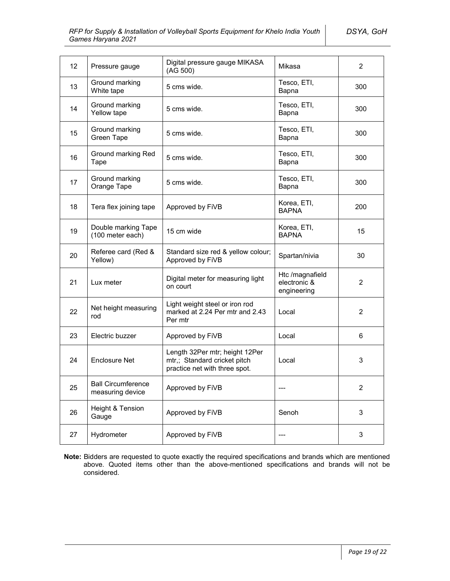| 12 | Pressure gauge                                | Digital pressure gauge MIKASA<br>(AG 500)                                                       | Mikasa                                         | $\overline{2}$ |
|----|-----------------------------------------------|-------------------------------------------------------------------------------------------------|------------------------------------------------|----------------|
| 13 | Ground marking<br>White tape                  | 5 cms wide.                                                                                     | Tesco, ETI,<br>Bapna                           | 300            |
| 14 | Ground marking<br>Yellow tape                 | 5 cms wide.                                                                                     | Tesco, ETI,<br>Bapna                           | 300            |
| 15 | Ground marking<br>Green Tape                  | 5 cms wide.                                                                                     | Tesco, ETI,<br>Bapna                           | 300            |
| 16 | Ground marking Red<br>Tape                    | 5 cms wide.                                                                                     | Tesco, ETI,<br>Bapna                           | 300            |
| 17 | Ground marking<br>Orange Tape                 | 5 cms wide.                                                                                     | Tesco, ETI,<br>Bapna                           | 300            |
| 18 | Tera flex joining tape                        | Approved by FiVB                                                                                | Korea, ETI,<br><b>BAPNA</b>                    | 200            |
| 19 | Double marking Tape<br>(100 meter each)       | 15 cm wide                                                                                      | Korea, ETI,<br><b>BAPNA</b>                    | 15             |
| 20 | Referee card (Red &<br>Yellow)                | Standard size red & yellow colour;<br>Approved by FiVB                                          | Spartan/nivia                                  | 30             |
| 21 | Lux meter                                     | Digital meter for measuring light<br>on court                                                   | Htc /magnafield<br>electronic &<br>engineering | $\overline{2}$ |
| 22 | Net height measuring<br>rod                   | Light weight steel or iron rod<br>marked at 2.24 Per mtr and 2.43<br>Per mtr                    | Local                                          | $\overline{2}$ |
| 23 | Electric buzzer                               | Approved by FiVB                                                                                | Local                                          | 6              |
| 24 | <b>Enclosure Net</b>                          | Length 32Per mtr; height 12Per<br>mtr,; Standard cricket pitch<br>practice net with three spot. | Local                                          | 3              |
| 25 | <b>Ball Circumference</b><br>measuring device | Approved by FiVB                                                                                |                                                | $\overline{2}$ |
| 26 | Height & Tension<br>Gauge                     | Approved by FiVB                                                                                | Senoh                                          | 3              |
| 27 | Hydrometer                                    | Approved by FiVB                                                                                | ---                                            | 3              |

**Note:** Bidders are requested to quote exactly the required specifications and brands which are mentioned above. Quoted items other than the above-mentioned specifications and brands will not be considered.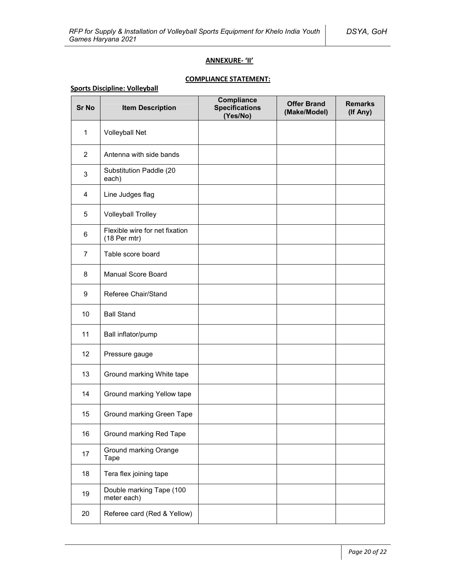### **ANNEXURE- 'II'**

# **COMPLIANCE STATEMENT:**

## **Sports Discipline: Volleyball**

| <b>Sr No</b>   | <b>Item Description</b>                        | Compliance<br><b>Specifications</b><br>(Yes/No) | <b>Offer Brand</b><br>(Make/Model) | <b>Remarks</b><br>(If Any) |
|----------------|------------------------------------------------|-------------------------------------------------|------------------------------------|----------------------------|
| $\mathbf{1}$   | <b>Volleyball Net</b>                          |                                                 |                                    |                            |
| $\overline{2}$ | Antenna with side bands                        |                                                 |                                    |                            |
| 3              | Substitution Paddle (20<br>each)               |                                                 |                                    |                            |
| 4              | Line Judges flag                               |                                                 |                                    |                            |
| 5              | <b>Volleyball Trolley</b>                      |                                                 |                                    |                            |
| 6              | Flexible wire for net fixation<br>(18 Per mtr) |                                                 |                                    |                            |
| $\overline{7}$ | Table score board                              |                                                 |                                    |                            |
| 8              | <b>Manual Score Board</b>                      |                                                 |                                    |                            |
| 9              | Referee Chair/Stand                            |                                                 |                                    |                            |
| 10             | <b>Ball Stand</b>                              |                                                 |                                    |                            |
| 11             | Ball inflator/pump                             |                                                 |                                    |                            |
| 12             | Pressure gauge                                 |                                                 |                                    |                            |
| 13             | Ground marking White tape                      |                                                 |                                    |                            |
| 14             | Ground marking Yellow tape                     |                                                 |                                    |                            |
| 15             | Ground marking Green Tape                      |                                                 |                                    |                            |
| 16             | Ground marking Red Tape                        |                                                 |                                    |                            |
| 17             | Ground marking Orange<br>Tape                  |                                                 |                                    |                            |
| 18             | Tera flex joining tape                         |                                                 |                                    |                            |
| 19             | Double marking Tape (100<br>meter each)        |                                                 |                                    |                            |
| 20             | Referee card (Red & Yellow)                    |                                                 |                                    |                            |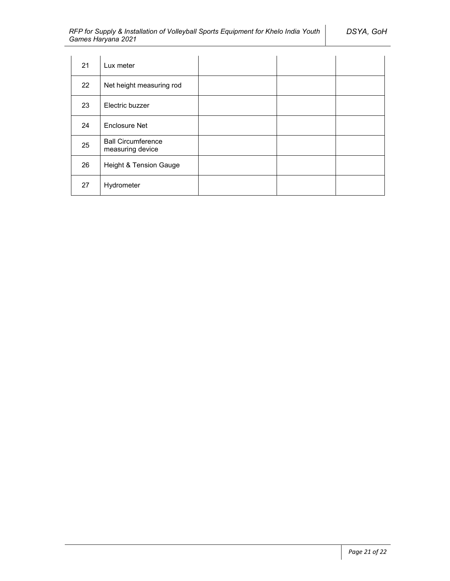| 21 | Lux meter                                     |  |  |
|----|-----------------------------------------------|--|--|
| 22 | Net height measuring rod                      |  |  |
| 23 | Electric buzzer                               |  |  |
| 24 | <b>Enclosure Net</b>                          |  |  |
| 25 | <b>Ball Circumference</b><br>measuring device |  |  |
| 26 | Height & Tension Gauge                        |  |  |
| 27 | Hydrometer                                    |  |  |